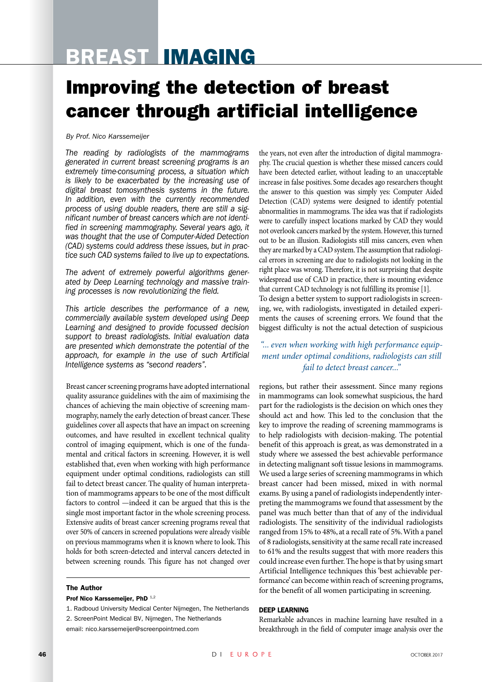# Breast Imaging

## Improving the detection of breast cancer through artificial intelligence

*By Prof. Nico Karssemeijer*

*The reading by radiologists of the mammograms generated in current breast screening programs is an extremely time-consuming process, a situation which is likely to be exacerbated by the increasing use of digital breast tomosynthesis systems in the future. In addition, even with the currently recommended process of using double readers, there are still a significant number of breast cancers which are not identified in screening mammography. Several years ago, it was thought that the use of Computer-Aided Detection (CAD) systems could address these issues, but in practice such CAD systems failed to live up to expectations.* 

*The advent of extremely powerful algorithms generated by Deep Learning technology and massive training processes is now revolutionizing the field.* 

*This article describes the performance of a new, commercially available system developed using Deep Learning and designed to provide focussed decision support to breast radiologists. Initial evaluation data are presented which demonstrate the potential of the approach, for example in the use of such Artificial Intelligence systems as "second readers".* 

Breast cancer screening programs have adopted international quality assurance guidelines with the aim of maximising the chances of achieving the main objective of screening mammography, namely the early detection of breast cancer. These guidelines cover all aspects that have an impact on screening outcomes, and have resulted in excellent technical quality control of imaging equipment, which is one of the fundamental and critical factors in screening. However, it is well established that, even when working with high performance equipment under optimal conditions, radiologists can still fail to detect breast cancer. The quality of human interpretation of mammograms appears to be one of the most difficult factors to control —indeed it can be argued that this is the single most important factor in the whole screening process. Extensive audits of breast cancer screening programs reveal that over 50% of cancers in screened populations were already visible on previous mammograms when it is known where to look. This holds for both screen-detected and interval cancers detected in between screening rounds. This figure has not changed over

### The Author

#### Prof Nico Karssemeijer, PhD 1,2

- 1. Radboud University Medical Center Nijmegen, The Netherlands
- 2. ScreenPoint Medical BV, Nijmegen, The Netherlands
- email: nico.karssemeijer@screenpointmed.com

the years, not even after the introduction of digital mammography. The crucial question is whether these missed cancers could have been detected earlier, without leading to an unacceptable increase in false positives. Some decades ago researchers thought the answer to this question was simply yes: Computer Aided Detection (CAD) systems were designed to identify potential abnormalities in mammograms. The idea was that if radiologists were to carefully inspect locations marked by CAD they would not overlook cancers marked by the system. However, this turned out to be an illusion. Radiologists still miss cancers, even when they are marked by a CAD system. The assumption that radiological errors in screening are due to radiologists not looking in the right place was wrong. Therefore, it is not surprising that despite widespread use of CAD in practice, there is mounting evidence that current CAD technology is not fulfilling its promise [1]. To design a better system to support radiologists in screening, we, with radiologists, investigated in detailed experi-

ments the causes of screening errors. We found that the biggest difficulty is not the actual detection of suspicious

## *"... even when working with high performance equipment under optimal conditions, radiologists can still fail to detect breast cancer..."*

regions, but rather their assessment. Since many regions in mammograms can look somewhat suspicious, the hard part for the radiologists is the decision on which ones they should act and how. This led to the conclusion that the key to improve the reading of screening mammograms is to help radiologists with decision-making. The potential benefit of this approach is great, as was demonstrated in a study where we assessed the best achievable performance in detecting malignant soft tissue lesions in mammograms. We used a large series of screening mammograms in which breast cancer had been missed, mixed in with normal exams. By using a panel of radiologists independently interpreting the mammograms we found that assessment by the panel was much better than that of any of the individual radiologists. The sensitivity of the individual radiologists ranged from 15% to 48%, at a recall rate of 5%. With a panel of 8 radiologists, sensitivity at the same recall rate increased to 61% and the results suggest that with more readers this could increase even further. The hope is that by using smart Artificial Intelligence techniques this 'best achievable performance' can become within reach of screening programs, for the benefit of all women participating in screening.

### Deep Learning

Remarkable advances in machine learning have resulted in a breakthrough in the field of computer image analysis over the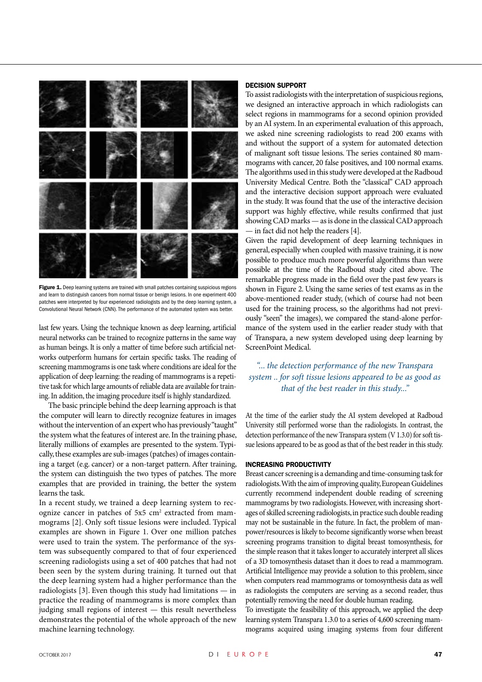

Figure 1. Deep learning systems are trained with small patches containing suspicious regions and learn to distinguish cancers from normal tissue or benign lesions. In one experiment 400 patches were interpreted by four experienced radiologists and by the deep learning system, a Convolutional Neural Network (CNN). The performance of the automated system was better.

last few years. Using the technique known as deep learning, artificial neural networks can be trained to recognize patterns in the same way as human beings. It is only a matter of time before such artificial networks outperform humans for certain specific tasks. The reading of screening mammograms is one task where conditions are ideal for the application of deep learning: the reading of mammograms is a repetitive task for which large amounts of reliable data are available for training. In addition, the imaging procedure itself is highly standardized.

The basic principle behind the deep learning approach is that the computer will learn to directly recognize features in images without the intervention of an expert who has previously "taught" the system what the features of interest are. In the training phase, literally millions of examples are presented to the system. Typically, these examples are sub-images (patches) of images containing a target (e.g. cancer) or a non-target pattern. After training, the system can distinguish the two types of patches. The more examples that are provided in training, the better the system learns the task.

In a recent study, we trained a deep learning system to recognize cancer in patches of 5x5 cm<sup>2</sup> extracted from mammograms [2]. Only soft tissue lesions were included. Typical examples are shown in Figure 1. Over one million patches were used to train the system. The performance of the system was subsequently compared to that of four experienced screening radiologists using a set of 400 patches that had not been seen by the system during training. It turned out that the deep learning system had a higher performance than the radiologists [3]. Even though this study had limitations — in practice the reading of mammograms is more complex than judging small regions of interest — this result nevertheless demonstrates the potential of the whole approach of the new machine learning technology.

## Decision support

To assist radiologists with the interpretation of suspicious regions, we designed an interactive approach in which radiologists can select regions in mammograms for a second opinion provided by an AI system. In an experimental evaluation of this approach, we asked nine screening radiologists to read 200 exams with and without the support of a system for automated detection of malignant soft tissue lesions. The series contained 80 mammograms with cancer, 20 false positives, and 100 normal exams. The algorithms used in this study were developed at the Radboud University Medical Centre. Both the "classical" CAD approach and the interactive decision support approach were evaluated in the study. It was found that the use of the interactive decision support was highly effective, while results confirmed that just showing CAD marks — as is done in the classical CAD approach — in fact did not help the readers [4].

Given the rapid development of deep learning techniques in general, especially when coupled with massive training, it is now possible to produce much more powerful algorithms than were possible at the time of the Radboud study cited above. The remarkable progress made in the field over the past few years is shown in Figure 2. Using the same series of test exams as in the above-mentioned reader study, (which of course had not been used for the training process, so the algorithms had not previously "seen" the images), we compared the stand-alone performance of the system used in the earlier reader study with that of Transpara, a new system developed using deep learning by ScreenPoint Medical.

## *"... the detection performance of the new Transpara system .. for soft tissue lesions appeared to be as good as that of the best reader in this study..."*

At the time of the earlier study the AI system developed at Radboud University still performed worse than the radiologists. In contrast, the detection performance of the new Transpara system (V 1.3.0) for soft tissue lesions appeared to be as good as that of the best reader in this study.

### Increasing productivity

Breast cancer screening is a demanding and time-consuming task for radiologists. With the aim of improving quality, European Guidelines currently recommend independent double reading of screening mammograms by two radiologists. However, with increasing shortages of skilled screening radiologists, in practice such double reading may not be sustainable in the future. In fact, the problem of manpower/resources is likely to become significantly worse when breast screening programs transition to digital breast tomosynthesis, for the simple reason that it takes longer to accurately interpret all slices of a 3D tomosynthesis dataset than it does to read a mammogram. Artificial Intelligence may provide a solution to this problem, since when computers read mammograms or tomosynthesis data as well as radiologists the computers are serving as a second reader, thus potentially removing the need for double human reading.

To investigate the feasibility of this approach, we applied the deep learning system Transpara 1.3.0 to a series of 4,600 screening mammograms acquired using imaging systems from four different